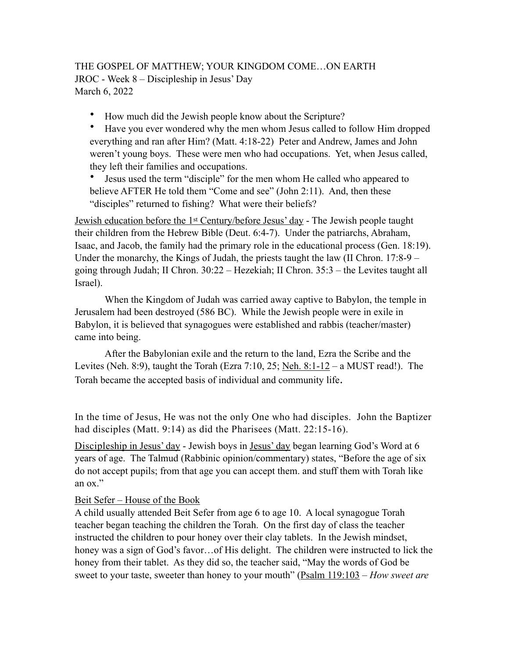# THE GOSPEL OF MATTHEW; YOUR KINGDOM COME…ON EARTH JROC - Week 8 – Discipleship in Jesus' Day March 6, 2022

• How much did the Jewish people know about the Scripture?

• Have you ever wondered why the men whom Jesus called to follow Him dropped everything and ran after Him? (Matt. 4:18-22) Peter and Andrew, James and John weren't young boys. These were men who had occupations. Yet, when Jesus called, they left their families and occupations.

• Jesus used the term "disciple" for the men whom He called who appeared to believe AFTER He told them "Come and see" (John 2:11). And, then these "disciples" returned to fishing? What were their beliefs?

Jewish education before the 1st Century/before Jesus' day - The Jewish people taught their children from the Hebrew Bible (Deut. 6:4-7). Under the patriarchs, Abraham, Isaac, and Jacob, the family had the primary role in the educational process (Gen. 18:19). Under the monarchy, the Kings of Judah, the priests taught the law (II Chron. 17:8-9 – going through Judah; II Chron. 30:22 – Hezekiah; II Chron. 35:3 – the Levites taught all Israel).

 When the Kingdom of Judah was carried away captive to Babylon, the temple in Jerusalem had been destroyed (586 BC). While the Jewish people were in exile in Babylon, it is believed that synagogues were established and rabbis (teacher/master) came into being.

After the Babylonian exile and the return to the land, Ezra the Scribe and the Levites (Neh. 8:9), taught the Torah (Ezra 7:10, 25; Neh.  $8:1-12-$  a MUST read!). The Torah became the accepted basis of individual and community life.

In the time of Jesus, He was not the only One who had disciples. John the Baptizer had disciples (Matt. 9:14) as did the Pharisees (Matt. 22:15-16).

Discipleship in Jesus' day - Jewish boys in <u>Jesus' day</u> began learning God's Word at 6 years of age. The Talmud (Rabbinic opinion/commentary) states, "Before the age of six do not accept pupils; from that age you can accept them. and stuff them with Torah like an ox."

## Beit Sefer – House of the Book

A child usually attended Beit Sefer from age 6 to age 10. A local synagogue Torah teacher began teaching the children the Torah. On the first day of class the teacher instructed the children to pour honey over their clay tablets. In the Jewish mindset, honey was a sign of God's favor...of His delight. The children were instructed to lick the honey from their tablet. As they did so, the teacher said, "May the words of God be sweet to your taste, sweeter than honey to your mouth" (Psalm 119:103 – *How sweet are*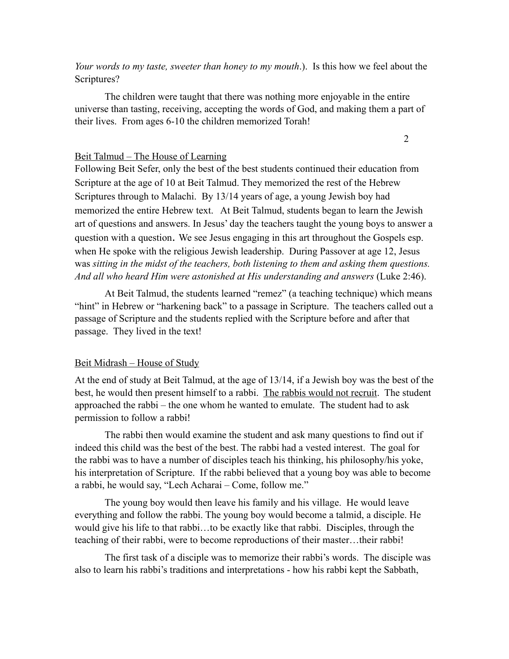*Your words to my taste, sweeter than honey to my mouth*.). Is this how we feel about the Scriptures?

The children were taught that there was nothing more enjoyable in the entire universe than tasting, receiving, accepting the words of God, and making them a part of their lives. From ages 6-10 the children memorized Torah!

2

## Beit Talmud – The House of Learning

Following Beit Sefer, only the best of the best students continued their education from Scripture at the age of 10 at Beit Talmud. They memorized the rest of the Hebrew Scriptures through to Malachi. By 13/14 years of age, a young Jewish boy had memorized the entire Hebrew text. At Beit Talmud, students began to learn the Jewish art of questions and answers. In Jesus' day the teachers taught the young boys to answer a question with a question. We see Jesus engaging in this art throughout the Gospels esp. when He spoke with the religious Jewish leadership. During Passover at age 12, Jesus was *sitting in the midst of the teachers, both listening to them and asking them questions. And all who heard Him were astonished at His understanding and answers* (Luke 2:46).

At Beit Talmud, the students learned "remez" (a teaching technique) which means "hint" in Hebrew or "harkening back" to a passage in Scripture. The teachers called out a passage of Scripture and the students replied with the Scripture before and after that passage. They lived in the text!

### Beit Midrash – House of Study

At the end of study at Beit Talmud, at the age of 13/14, if a Jewish boy was the best of the best, he would then present himself to a rabbi. The rabbis would not recruit. The student approached the rabbi – the one whom he wanted to emulate. The student had to ask permission to follow a rabbi!

The rabbi then would examine the student and ask many questions to find out if indeed this child was the best of the best. The rabbi had a vested interest. The goal for the rabbi was to have a number of disciples teach his thinking, his philosophy/his yoke, his interpretation of Scripture. If the rabbi believed that a young boy was able to become a rabbi, he would say, "Lech Acharai – Come, follow me."

The young boy would then leave his family and his village. He would leave everything and follow the rabbi. The young boy would become a talmid, a disciple. He would give his life to that rabbi…to be exactly like that rabbi. Disciples, through the teaching of their rabbi, were to become reproductions of their master…their rabbi!

The first task of a disciple was to memorize their rabbi's words. The disciple was also to learn his rabbi's traditions and interpretations - how his rabbi kept the Sabbath,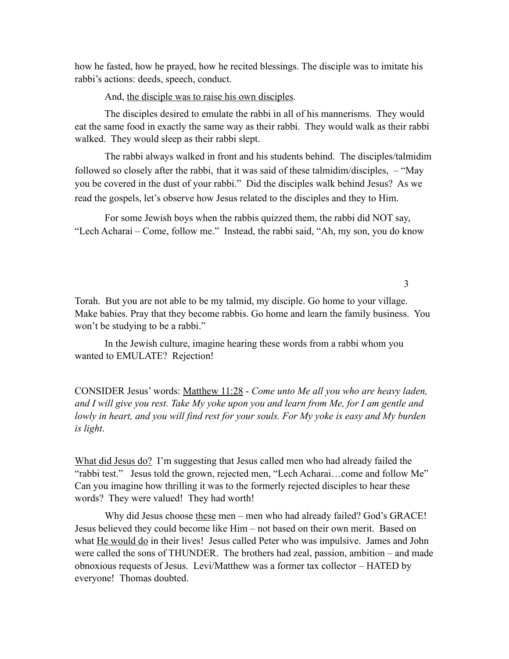how he fasted, how he prayed, how he recited blessings. The disciple was to imitate his rabbi's actions: deeds, speech, conduct.

And, the disciple was to raise his own disciples.

The disciples desired to emulate the rabbi in all of his mannerisms. They would eat the same food in exactly the same way as their rabbi. They would walk as their rabbi walked. They would sleep as their rabbi slept.

The rabbi always walked in front and his students behind. The disciples/talmidim followed so closely after the rabbi, that it was said of these talmidim/disciples, – "May you be covered in the dust of your rabbi." Did the disciples walk behind Jesus? As we read the gospels, let's observe how Jesus related to the disciples and they to Him.

For some Jewish boys when the rabbis quizzed them, the rabbi did NOT say, "Lech Acharai – Come, follow me." Instead, the rabbi said, "Ah, my son, you do know

3

Torah. But you are not able to be my talmid, my disciple. Go home to your village. Make babies. Pray that they become rabbis. Go home and learn the family business. You won't be studying to be a rabbi."

In the Jewish culture, imagine hearing these words from a rabbi whom you wanted to EMULATE? Rejection!

CONSIDER Jesus' words: Matthew 11:28 - *Come unto Me all you who are heavy laden, and I will give you rest. Take My yoke upon you and learn from Me, for I am gentle and lowly in heart, and you will find rest for your souls. For My yoke is easy and My burden is light*.

What did Jesus do? I'm suggesting that Jesus called men who had already failed the "rabbi test." Jesus told the grown, rejected men, "Lech Acharai…come and follow Me" Can you imagine how thrilling it was to the formerly rejected disciples to hear these words? They were valued! They had worth!

Why did Jesus choose these men – men who had already failed? God's GRACE! Jesus believed they could become like Him – not based on their own merit. Based on what He would do in their lives! Jesus called Peter who was impulsive. James and John were called the sons of THUNDER. The brothers had zeal, passion, ambition – and made obnoxious requests of Jesus. Levi/Matthew was a former tax collector – HATED by everyone! Thomas doubted.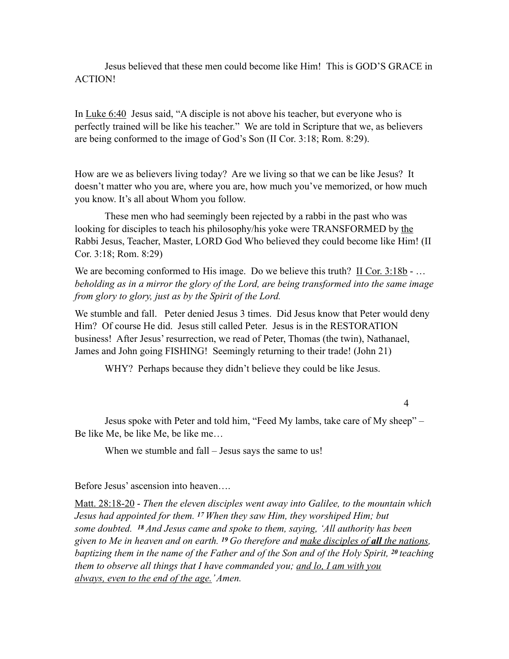Jesus believed that these men could become like Him! This is GOD'S GRACE in ACTION!

In Luke 6:40 Jesus said, "A disciple is not above his teacher, but everyone who is perfectly trained will be like his teacher." We are told in Scripture that we, as believers are being conformed to the image of God's Son (II Cor. 3:18; Rom. 8:29).

How are we as believers living today? Are we living so that we can be like Jesus? It doesn't matter who you are, where you are, how much you've memorized, or how much you know. It's all about Whom you follow.

These men who had seemingly been rejected by a rabbi in the past who was looking for disciples to teach his philosophy/his yoke were TRANSFORMED by the Rabbi Jesus, Teacher, Master, LORD God Who believed they could become like Him! (II Cor. 3:18; Rom. 8:29)

We are becoming conformed to His image. Do we believe this truth? II Cor. 3:18b - ... *beholding as in a mirror the glory of the Lord, are being transformed into the same image from glory to glory, just as by the Spirit of the Lord.* 

We stumble and fall. Peter denied Jesus 3 times. Did Jesus know that Peter would deny Him? Of course He did. Jesus still called Peter. Jesus is in the RESTORATION business! After Jesus' resurrection, we read of Peter, Thomas (the twin), Nathanael, James and John going FISHING! Seemingly returning to their trade! (John 21)

WHY? Perhaps because they didn't believe they could be like Jesus.

#### 4

 Jesus spoke with Peter and told him, "Feed My lambs, take care of My sheep" – Be like Me, be like Me, be like me…

When we stumble and fall – Jesus says the same to us!

Before Jesus' ascension into heaven….

Matt. 28:18-20 - *Then the eleven disciples went away into Galilee, to the mountain which Jesus had appointed for them. 17 When they saw Him, they worshiped Him; but some doubted. 18 And Jesus came and spoke to them, saying, 'All authority has been given to Me in heaven and on earth. 19 Go therefore and make disciples of all the nations, baptizing them in the name of the Father and of the Son and of the Holy Spirit, 20 teaching them to observe all things that I have commanded you; and lo, I am with you always, even to the end of the age.' Amen.*